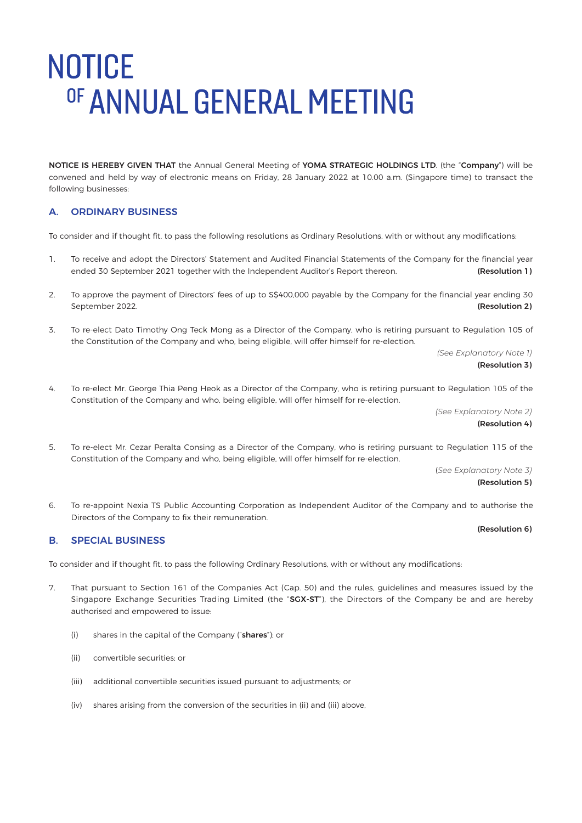NOTICE IS HEREBY GIVEN THAT the Annual General Meeting of YOMA STRATEGIC HOLDINGS LTD. (the "Company") will be convened and held by way of electronic means on Friday, 28 January 2022 at 10.00 a.m. (Singapore time) to transact the following businesses:

### A. ORDINARY BUSINESS

To consider and if thought fit, to pass the following resolutions as Ordinary Resolutions, with or without any modifications:

- 1. To receive and adopt the Directors' Statement and Audited Financial Statements of the Company for the financial year ended 30 September 2021 together with the Independent Auditor's Report thereon. (Resolution 1)
- 2. To approve the payment of Directors' fees of up to S\$400,000 payable by the Company for the financial year ending 30 September 2022. **(Resolution 2)** September 2022.
- 3. To re-elect Dato Timothy Ong Teck Mong as a Director of the Company, who is retiring pursuant to Regulation 105 of the Constitution of the Company and who, being eligible, will offer himself for re-election.

 *(See Explanatory Note 1)* (Resolution 3)

4. To re-elect Mr. George Thia Peng Heok as a Director of the Company, who is retiring pursuant to Regulation 105 of the Constitution of the Company and who, being eligible, will offer himself for re-election.

> *(See Explanatory Note 2)* (Resolution 4)

5. To re-elect Mr. Cezar Peralta Consing as a Director of the Company, who is retiring pursuant to Regulation 115 of the Constitution of the Company and who, being eligible, will offer himself for re-election.

 (*See Explanatory Note 3)* (Resolution 5)

6. To re-appoint Nexia TS Public Accounting Corporation as Independent Auditor of the Company and to authorise the Directors of the Company to fix their remuneration.

### (Resolution 6)

### B. SPECIAL BUSINESS

To consider and if thought fit, to pass the following Ordinary Resolutions, with or without any modifications:

- 7. That pursuant to Section 161 of the Companies Act (Cap. 50) and the rules, guidelines and measures issued by the Singapore Exchange Securities Trading Limited (the "SGX-ST"), the Directors of the Company be and are hereby authorised and empowered to issue:
	- (i) shares in the capital of the Company ("shares"); or
	- (ii) convertible securities; or
	- (iii) additional convertible securities issued pursuant to adjustments; or
	- (iv) shares arising from the conversion of the securities in (ii) and (iii) above,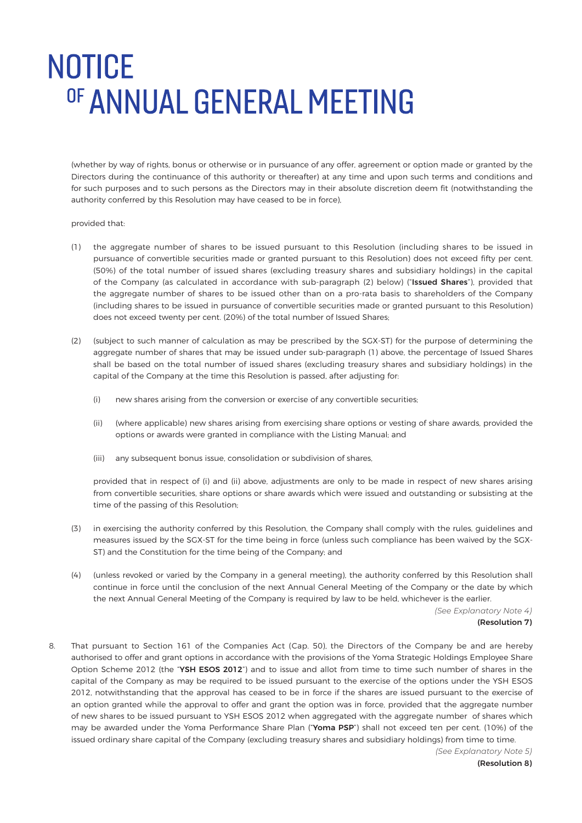(whether by way of rights, bonus or otherwise or in pursuance of any offer, agreement or option made or granted by the Directors during the continuance of this authority or thereafter) at any time and upon such terms and conditions and for such purposes and to such persons as the Directors may in their absolute discretion deem fit (notwithstanding the authority conferred by this Resolution may have ceased to be in force),

### provided that:

- (1) the aggregate number of shares to be issued pursuant to this Resolution (including shares to be issued in pursuance of convertible securities made or granted pursuant to this Resolution) does not exceed fifty per cent. (50%) of the total number of issued shares (excluding treasury shares and subsidiary holdings) in the capital of the Company (as calculated in accordance with sub-paragraph (2) below) ("Issued Shares"), provided that the aggregate number of shares to be issued other than on a pro-rata basis to shareholders of the Company (including shares to be issued in pursuance of convertible securities made or granted pursuant to this Resolution) does not exceed twenty per cent. (20%) of the total number of Issued Shares;
- (2) (subject to such manner of calculation as may be prescribed by the SGX-ST) for the purpose of determining the aggregate number of shares that may be issued under sub-paragraph (1) above, the percentage of Issued Shares shall be based on the total number of issued shares (excluding treasury shares and subsidiary holdings) in the capital of the Company at the time this Resolution is passed, after adjusting for:
	- (i) new shares arising from the conversion or exercise of any convertible securities;
	- (ii) (where applicable) new shares arising from exercising share options or vesting of share awards, provided the options or awards were granted in compliance with the Listing Manual; and
	- (iii) any subsequent bonus issue, consolidation or subdivision of shares,

provided that in respect of (i) and (ii) above, adjustments are only to be made in respect of new shares arising from convertible securities, share options or share awards which were issued and outstanding or subsisting at the time of the passing of this Resolution;

- (3) in exercising the authority conferred by this Resolution, the Company shall comply with the rules, guidelines and measures issued by the SGX-ST for the time being in force (unless such compliance has been waived by the SGX-ST) and the Constitution for the time being of the Company; and
- (4) (unless revoked or varied by the Company in a general meeting), the authority conferred by this Resolution shall continue in force until the conclusion of the next Annual General Meeting of the Company or the date by which the next Annual General Meeting of the Company is required by law to be held, whichever is the earlier.

 *(See Explanatory Note 4)*

### (Resolution 7)

8. That pursuant to Section 161 of the Companies Act (Cap. 50), the Directors of the Company be and are hereby authorised to offer and grant options in accordance with the provisions of the Yoma Strategic Holdings Employee Share Option Scheme 2012 (the "YSH ESOS 2012") and to issue and allot from time to time such number of shares in the capital of the Company as may be required to be issued pursuant to the exercise of the options under the YSH ESOS 2012, notwithstanding that the approval has ceased to be in force if the shares are issued pursuant to the exercise of an option granted while the approval to offer and grant the option was in force, provided that the aggregate number of new shares to be issued pursuant to YSH ESOS 2012 when aggregated with the aggregate number of shares which may be awarded under the Yoma Performance Share Plan ("Yoma PSP") shall not exceed ten per cent. (10%) of the issued ordinary share capital of the Company (excluding treasury shares and subsidiary holdings) from time to time.

 *(See Explanatory Note 5)* (Resolution 8)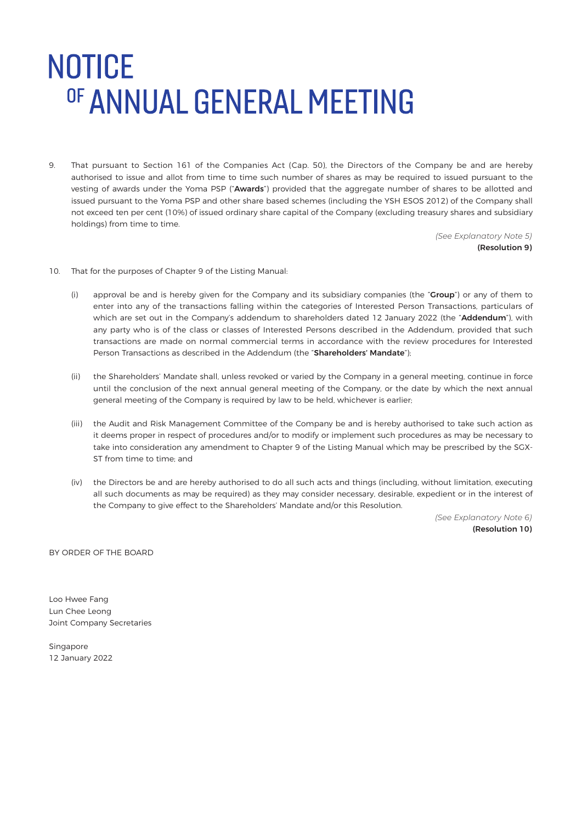9. That pursuant to Section 161 of the Companies Act (Cap. 50), the Directors of the Company be and are hereby authorised to issue and allot from time to time such number of shares as may be required to issued pursuant to the vesting of awards under the Yoma PSP ("Awards") provided that the aggregate number of shares to be allotted and issued pursuant to the Yoma PSP and other share based schemes (including the YSH ESOS 2012) of the Company shall not exceed ten per cent (10%) of issued ordinary share capital of the Company (excluding treasury shares and subsidiary holdings) from time to time.

 *(See Explanatory Note 5)* (Resolution 9)

- 10. That for the purposes of Chapter 9 of the Listing Manual:
	- (i) approval be and is hereby given for the Company and its subsidiary companies (the "Group") or any of them to enter into any of the transactions falling within the categories of Interested Person Transactions, particulars of which are set out in the Company's addendum to shareholders dated 12 January 2022 (the "Addendum"), with any party who is of the class or classes of Interested Persons described in the Addendum, provided that such transactions are made on normal commercial terms in accordance with the review procedures for Interested Person Transactions as described in the Addendum (the "Shareholders' Mandate");
	- (ii) the Shareholders' Mandate shall, unless revoked or varied by the Company in a general meeting, continue in force until the conclusion of the next annual general meeting of the Company, or the date by which the next annual general meeting of the Company is required by law to be held, whichever is earlier;
	- (iii) the Audit and Risk Management Committee of the Company be and is hereby authorised to take such action as it deems proper in respect of procedures and/or to modify or implement such procedures as may be necessary to take into consideration any amendment to Chapter 9 of the Listing Manual which may be prescribed by the SGX-ST from time to time; and
	- (iv) the Directors be and are hereby authorised to do all such acts and things (including, without limitation, executing all such documents as may be required) as they may consider necessary, desirable, expedient or in the interest of the Company to give effect to the Shareholders' Mandate and/or this Resolution.

 *(See Explanatory Note 6)* (Resolution 10)

BY ORDER OF THE BOARD

Loo Hwee Fang Lun Chee Leong Joint Company Secretaries

Singapore 12 January 2022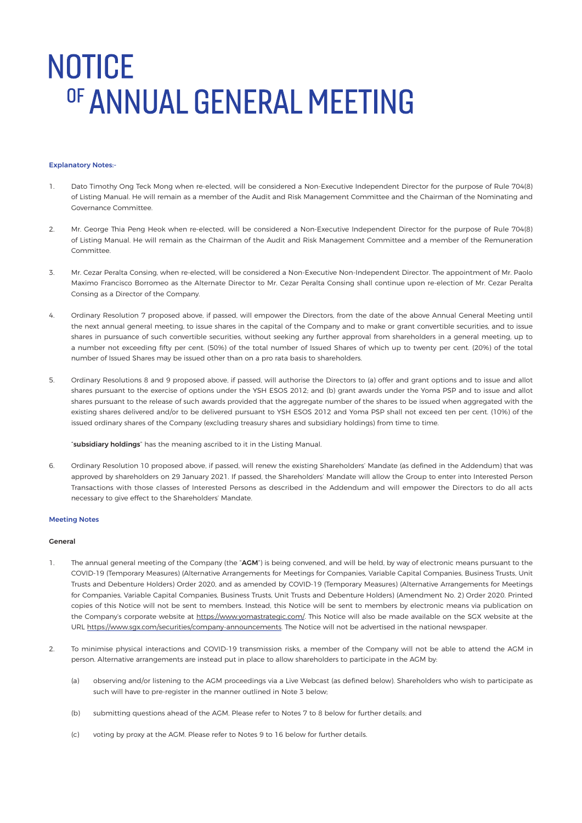#### Explanatory Notes:-

- 1. Dato Timothy Ong Teck Mong when re-elected, will be considered a Non-Executive Independent Director for the purpose of Rule 704(8) of Listing Manual. He will remain as a member of the Audit and Risk Management Committee and the Chairman of the Nominating and Governance Committee.
- 2. Mr. George Thia Peng Heok when re-elected, will be considered a Non-Executive Independent Director for the purpose of Rule 704(8) of Listing Manual. He will remain as the Chairman of the Audit and Risk Management Committee and a member of the Remuneration Committee.
- 3. Mr. Cezar Peralta Consing, when re-elected, will be considered a Non-Executive Non-Independent Director. The appointment of Mr. Paolo Maximo Francisco Borromeo as the Alternate Director to Mr. Cezar Peralta Consing shall continue upon re-election of Mr. Cezar Peralta Consing as a Director of the Company.
- 4. Ordinary Resolution 7 proposed above, if passed, will empower the Directors, from the date of the above Annual General Meeting until the next annual general meeting, to issue shares in the capital of the Company and to make or grant convertible securities, and to issue shares in pursuance of such convertible securities, without seeking any further approval from shareholders in a general meeting, up to a number not exceeding fifty per cent. (50%) of the total number of Issued Shares of which up to twenty per cent. (20%) of the total number of Issued Shares may be issued other than on a pro rata basis to shareholders.
- 5. Ordinary Resolutions 8 and 9 proposed above, if passed, will authorise the Directors to (a) offer and grant options and to issue and allot shares pursuant to the exercise of options under the YSH ESOS 2012; and (b) grant awards under the Yoma PSP and to issue and allot shares pursuant to the release of such awards provided that the aggregate number of the shares to be issued when aggregated with the existing shares delivered and/or to be delivered pursuant to YSH ESOS 2012 and Yoma PSP shall not exceed ten per cent. (10%) of the issued ordinary shares of the Company (excluding treasury shares and subsidiary holdings) from time to time.

"subsidiary holdings" has the meaning ascribed to it in the Listing Manual.

6. Ordinary Resolution 10 proposed above, if passed, will renew the existing Shareholders' Mandate (as defined in the Addendum) that was approved by shareholders on 29 January 2021. If passed, the Shareholders' Mandate will allow the Group to enter into Interested Person Transactions with those classes of Interested Persons as described in the Addendum and will empower the Directors to do all acts necessary to give effect to the Shareholders' Mandate.

#### Meeting Notes

#### General

- 1. The annual general meeting of the Company (the "AGM") is being convened, and will be held, by way of electronic means pursuant to the COVID-19 (Temporary Measures) (Alternative Arrangements for Meetings for Companies, Variable Capital Companies, Business Trusts, Unit Trusts and Debenture Holders) Order 2020, and as amended by COVID-19 (Temporary Measures) (Alternative Arrangements for Meetings for Companies, Variable Capital Companies, Business Trusts, Unit Trusts and Debenture Holders) (Amendment No. 2) Order 2020. Printed copies of this Notice will not be sent to members. Instead, this Notice will be sent to members by electronic means via publication on the Company's corporate website at https://www.yomastrategic.com/. This Notice will also be made available on the SGX website at the URL https://www.sgx.com/securities/company-announcements. The Notice will not be advertised in the national newspaper.
- 2. To minimise physical interactions and COVID-19 transmission risks, a member of the Company will not be able to attend the AGM in person. Alternative arrangements are instead put in place to allow shareholders to participate in the AGM by:
	- (a) observing and/or listening to the AGM proceedings via a Live Webcast (as defined below). Shareholders who wish to participate as such will have to pre-register in the manner outlined in Note 3 below;
	- (b) submitting questions ahead of the AGM. Please refer to Notes 7 to 8 below for further details; and
	- (c) voting by proxy at the AGM. Please refer to Notes 9 to 16 below for further details.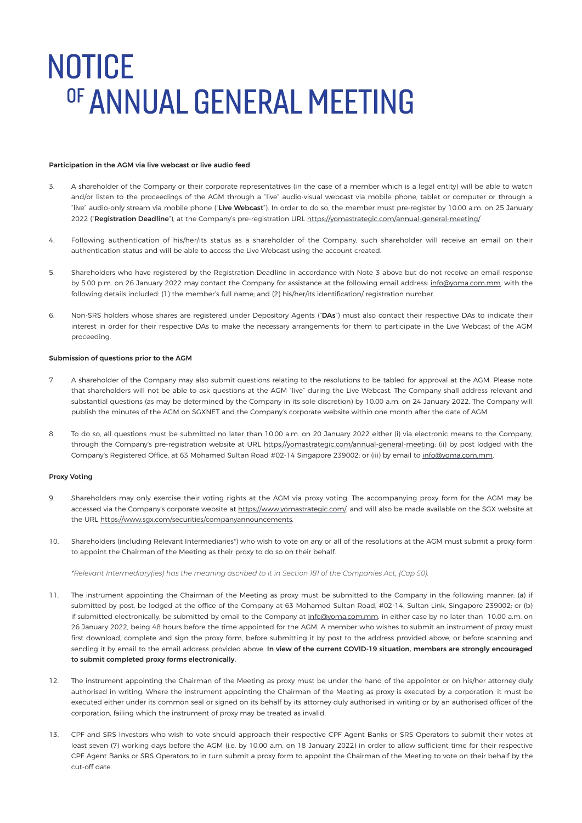#### Participation in the AGM via live webcast or live audio feed

- 3. A shareholder of the Company or their corporate representatives (in the case of a member which is a legal entity) will be able to watch and/or listen to the proceedings of the AGM through a "live" audio-visual webcast via mobile phone, tablet or computer or through a "live" audio-only stream via mobile phone ("Live Webcast"). In order to do so, the member must pre-register by 10.00 a.m. on 25 January 2022 ("Registration Deadline"), at the Company's pre-registration URL https://yomastrategic.com/annual-general-meeting/
- 4. Following authentication of his/her/its status as a shareholder of the Company, such shareholder will receive an email on their authentication status and will be able to access the Live Webcast using the account created.
- 5. Shareholders who have registered by the Registration Deadline in accordance with Note 3 above but do not receive an email response by 5.00 p.m. on 26 January 2022 may contact the Company for assistance at the following email address: info@yoma.com.mm, with the following details included: (1) the member's full name; and (2) his/her/its identification/ registration number.
- 6. Non-SRS holders whose shares are registered under Depository Agents ("DAs") must also contact their respective DAs to indicate their interest in order for their respective DAs to make the necessary arrangements for them to participate in the Live Webcast of the AGM proceeding.

#### Submission of questions prior to the AGM

- 7. A shareholder of the Company may also submit questions relating to the resolutions to be tabled for approval at the AGM. Please note that shareholders will not be able to ask questions at the AGM "live" during the Live Webcast. The Company shall address relevant and substantial questions (as may be determined by the Company in its sole discretion) by 10.00 a.m. on 24 January 2022. The Company will publish the minutes of the AGM on SGXNET and the Company's corporate website within one month after the date of AGM.
- 8. To do so, all questions must be submitted no later than 10.00 a.m. on 20 January 2022 either (i) via electronic means to the Company, through the Company's pre-registration website at URL https://yomastrategic.com/annual-general-meeting; (ii) by post lodged with the Company's Registered Office, at 63 Mohamed Sultan Road #02-14 Singapore 239002; or (iii) by email to info@yoma.com.mm.

#### Proxy Voting

- 9. Shareholders may only exercise their voting rights at the AGM via proxy voting. The accompanying proxy form for the AGM may be accessed via the Company's corporate website at https://www.yomastrategic.com/, and will also be made available on the SGX website at the URL https://www.sgx.com/securities/companyannouncements.
- 10. Shareholders (including Relevant Intermediaries\*) who wish to vote on any or all of the resolutions at the AGM must submit a proxy form to appoint the Chairman of the Meeting as their proxy to do so on their behalf.

*\*Relevant Intermediary(ies) has the meaning ascribed to it in Section 181 of the Companies Act, (Cap 50).*

- 11. The instrument appointing the Chairman of the Meeting as proxy must be submitted to the Company in the following manner: (a) if submitted by post, be lodged at the office of the Company at 63 Mohamed Sultan Road, #02-14, Sultan Link, Singapore 239002; or (b) if submitted electronically, be submitted by email to the Company at info@yoma.com.mm, in either case by no later than 10.00 a.m. on 26 January 2022, being 48 hours before the time appointed for the AGM. A member who wishes to submit an instrument of proxy must first download, complete and sign the proxy form, before submitting it by post to the address provided above, or before scanning and sending it by email to the email address provided above. In view of the current COVID-19 situation, members are strongly encouraged to submit completed proxy forms electronically.
- 12. The instrument appointing the Chairman of the Meeting as proxy must be under the hand of the appointor or on his/her attorney duly authorised in writing. Where the instrument appointing the Chairman of the Meeting as proxy is executed by a corporation, it must be executed either under its common seal or signed on its behalf by its attorney duly authorised in writing or by an authorised officer of the corporation, failing which the instrument of proxy may be treated as invalid.
- 13. CPF and SRS Investors who wish to vote should approach their respective CPF Agent Banks or SRS Operators to submit their votes at least seven (7) working days before the AGM (i.e. by 10.00 a.m. on 18 January 2022) in order to allow sufficient time for their respective CPF Agent Banks or SRS Operators to in turn submit a proxy form to appoint the Chairman of the Meeting to vote on their behalf by the cut-off date.